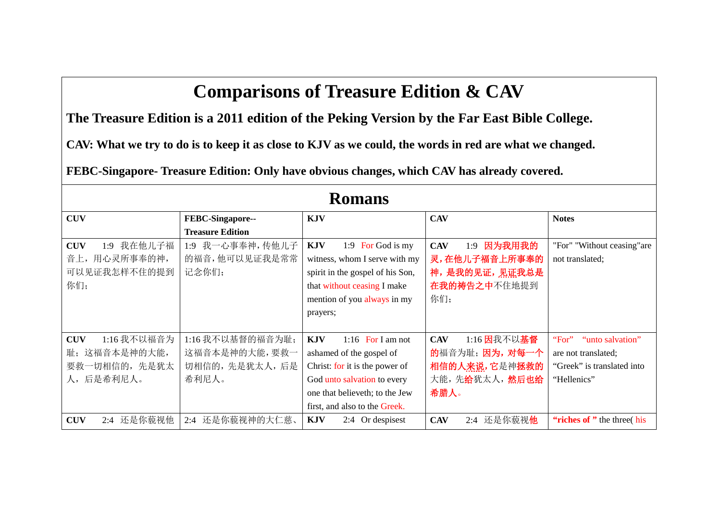## **Comparisons of Treasure Edition & CAV**

**The Treasure Edition is a 2011 edition of the Peking Version by the Far East Bible College.**

**CAV: What we try to do is to keep it as close to KJV as we could, the words in red are what we changed.**

**FEBC-Singapore- Treasure Edition: Only have obvious changes, which CAV has already covered.**

| <b>Romans</b>               |                         |                                  |                                  |                             |
|-----------------------------|-------------------------|----------------------------------|----------------------------------|-----------------------------|
| <b>CUV</b>                  | FEBC-Singapore--        | <b>KJV</b>                       | <b>CAV</b>                       | <b>Notes</b>                |
|                             | <b>Treasure Edition</b> |                                  |                                  |                             |
| 我在他儿子福<br><b>CUV</b><br>1:9 | 1:9 我一心事奉神,传他儿子         | <b>KJV</b><br>1:9 For God is my  | 因为我用我的<br><b>CAV</b><br>1:9      | "For" "Without ceasing" are |
| 音上,用心灵所事奉的神,                | 的福音,他可以见证我是常常           | witness, whom I serve with my    | 灵,在他儿子福音上所事奉的                    | not translated;             |
| 可以见证我怎样不住的提到                | 记念你们;                   | spirit in the gospel of his Son, | 神,是我的见证,见证我总是                    |                             |
| 你们;                         |                         | that without ceasing I make      | 在我的祷告之中不住地提到                     |                             |
|                             |                         | mention of you always in my      | 你们;                              |                             |
|                             |                         | prayers;                         |                                  |                             |
|                             |                         |                                  |                                  |                             |
| 1:16 我不以福音为<br><b>CUV</b>   | 1:16 我不以基督的福音为耻;        | <b>KJV</b><br>1:16 For I am not  | 1:16 因我不以基督<br><b>CAV</b>        | "For"<br>"unto salvation"   |
| 这福音本是神的大能,<br>耻;            | 这福音本是神的大能,要救一           | ashamed of the gospel of         | 的福音为耻; 因为, 对每一个                  | are not translated;         |
| 要救一切相信的, 先是犹太               | 切相信的,先是犹太人,后是           | Christ: for it is the power of   | 相信的人来说,它是神拯救的                    | "Greek" is translated into  |
| 后是希利尼人。<br>人,               | 希利尼人。                   | God unto salvation to every      | 大能,先给犹太人,然后也给                    | "Hellenics"                 |
|                             |                         | one that believeth; to the Jew   | 希腊人。                             |                             |
|                             |                         | first, and also to the Greek.    |                                  |                             |
| 还是你藐视他<br><b>CUV</b><br>2:4 | 还是你藐视神的大仁慈、<br>2:4      | <b>KJV</b><br>2:4 Or despisest   | 2:4 还是你藐视 <b>他</b><br><b>CAV</b> | "riches of" the three (his  |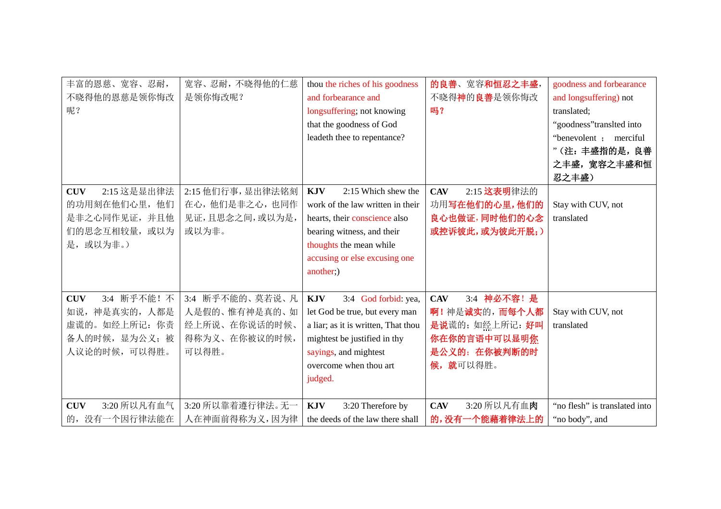| 丰富的恩慈、宽容、忍耐,<br>不晓得他的恩慈是领你悔改<br>呢?<br>2:15 这是显出律法<br><b>CUV</b><br>的功用刻在他们心里,他们<br>是非之心同作见证,并且他<br>们的思念互相较量, 或以为<br>或以为非。)<br>是, | 宽容、忍耐,不晓得他的仁慈<br>是领你悔改呢?<br>2:15 他们行事, 显出律法铭刻<br>在心,他们是非之心,也同作<br>见证,且思念之间,或以为是,<br>或以为非。       | thou the riches of his goodness<br>and forbearance and<br>longsuffering; not knowing<br>that the goodness of God<br>leadeth thee to repentance?<br><b>KJV</b><br>2:15 Which shew the<br>work of the law written in their<br>hearts, their conscience also<br>bearing witness, and their<br>thoughts the mean while | 的良善、宽容和恒忍之丰盛,<br>不晓得神的良善是领你悔改<br>吗?<br><b>CAV</b><br>2:15 这表明律法的<br>功用写在他们的心里,他们的<br>良心也做证,同时他们的心念<br>或控诉彼此,或为彼此开脱;)                   | goodness and forbearance<br>and longsuffering) not<br>translated;<br>"goodness" translted into<br>"benevolent ; merciful<br>"(注:丰盛指的是,良善<br>之丰盛, 宽容之丰盛和恒<br>忍之丰盛)<br>Stay with CUV, not<br>translated |
|----------------------------------------------------------------------------------------------------------------------------------|-------------------------------------------------------------------------------------------------|--------------------------------------------------------------------------------------------------------------------------------------------------------------------------------------------------------------------------------------------------------------------------------------------------------------------|----------------------------------------------------------------------------------------------------------------------------------------|-------------------------------------------------------------------------------------------------------------------------------------------------------------------------------------------------------|
| 3:4 断乎不能! 不<br><b>CUV</b><br>如说, 神是真实的, 人都是<br>虚谎的。如经上所记: 你责<br>备人的时候, 显为公义; 被<br>人议论的时候,可以得胜。<br>3:20 所以凡有血气<br><b>CUV</b>      | 3:4 断乎不能的、莫若说、凡<br>人是假的、惟有神是真的、如<br>经上所说、在你说话的时候、<br>得称为义、在你被议的时候,<br>可以得胜。<br>3:20 所以靠着遵行律法。无一 | accusing or else excusing one<br>another;)<br><b>KJV</b><br>3:4 God forbid: yea,<br>let God be true, but every man<br>a liar; as it is written, That thou<br>mightest be justified in thy<br>sayings, and mightest<br>overcome when thou art<br>judged.<br><b>KJV</b><br>3:20 Therefore by                         | 3:4 神必不容! 是<br><b>CAV</b><br>啊!神是诚实的,而每个人都<br>是说谎的;如经上所记:好叫<br>你在你的言语中可以显明你<br>是公义的; 在你被判断的时<br>候, 就可以得胜。<br>3:20 所以凡有血肉<br><b>CAV</b> | Stay with CUV, not<br>translated<br>"no flesh" is translated into                                                                                                                                     |
| 的,没有一个因行律法能在                                                                                                                     | 人在神面前得称为义,因为律                                                                                   | the deeds of the law there shall                                                                                                                                                                                                                                                                                   | 的,没有一个能藉着律法上的                                                                                                                          | "no body", and                                                                                                                                                                                        |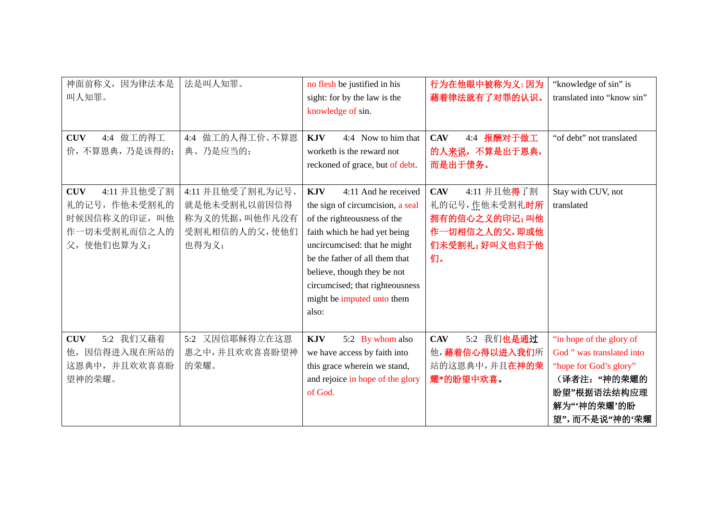| 神面前称义,<br>因为律法本是<br>叫人知罪。<br>4:4 做工的得工<br><b>CUV</b>                                         | 法是叫人知罪。<br>4:4 做工的人得工价、不算恩                                                  | no flesh be justified in his<br>sight: for by the law is the<br>knowledge of sin.<br><b>KJV</b><br>4:4 Now to him that                                                                                                                                                                                           | 行为在他眼中被称为义;因为<br>藉着律法就有了对罪的认识。<br>4:4 报酬对于做工<br><b>CAV</b>                                          | "knowledge of sin" is<br>translated into "know sin"<br>"of debt" not translated                                                                |
|----------------------------------------------------------------------------------------------|-----------------------------------------------------------------------------|------------------------------------------------------------------------------------------------------------------------------------------------------------------------------------------------------------------------------------------------------------------------------------------------------------------|-----------------------------------------------------------------------------------------------------|------------------------------------------------------------------------------------------------------------------------------------------------|
| 价,不算恩典,乃是该得的;                                                                                | 典、乃是应当的;                                                                    | worketh is the reward not<br>reckoned of grace, but of debt.                                                                                                                                                                                                                                                     | 的人来说,不算是出于恩典,<br>而是出于债务。                                                                            |                                                                                                                                                |
| 4:11 并且他受了割<br><b>CUV</b><br>礼的记号, 作他未受割礼的<br>时候因信称义的印证,叫他<br>作一切未受割礼而信之人的<br>使他们也算为义;<br>父, | 4:11 并且他受了割礼为记号、<br>就是他未受割礼以前因信得<br>称为义的凭据,叫他作凡没有<br>受割礼相信的人的父,使他们<br>也得为义; | <b>KJV</b><br>4:11 And he received<br>the sign of circumcision, a seal<br>of the righteousness of the<br>faith which he had yet being<br>uncircumcised: that he might<br>be the father of all them that<br>believe, though they be not<br>circumcised; that righteousness<br>might be imputed unto them<br>also: | <b>CAV</b><br>4:11 并且他得了割<br>礼的记号,作他未受割礼时所<br>拥有的信心之义的印记;叫他<br>作一切相信之人的父,即或他<br>们未受割礼;好叫义也归于他<br>们。 | Stay with CUV, not<br>translated                                                                                                               |
| 5:2 我们又藉着<br><b>CUV</b><br>因信得进入现在所站的<br>他,<br>这恩典中,并且欢欢喜喜盼<br>望神的荣耀。                        | 5:2 又因信耶稣得立在这恩<br>惠之中,并且欢欢喜喜盼望神<br>的荣耀。                                     | <b>KJV</b><br>5:2 By whom also<br>we have access by faith into<br>this grace wherein we stand,<br>and rejoice in hope of the glory<br>of God.                                                                                                                                                                    | 5:2 我们也是通过<br><b>CAV</b><br>他,藉着信心得以进入我们所<br>站的这恩典中,并且在神的荣<br>耀*的盼望中欢喜。                             | "in hope of the glory of<br>God " was translated into<br>"hope for God's glory"<br>(译者注: "神的荣耀的<br>盼望"根据语法结构应理<br>解为"'神的荣耀'的盼<br>望",而不是说"神的'荣耀 |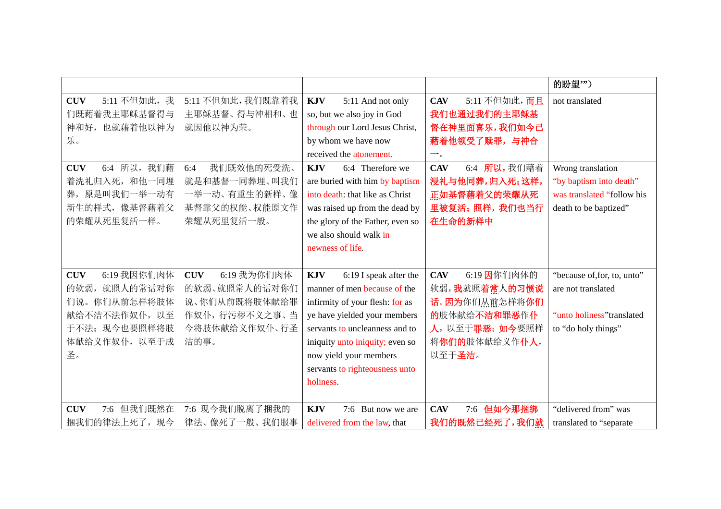|                                                                                                                        |                                                                                                       |                                                                                                                                                                                                                                                                                       |                                                                                                                         | 的盼望")                                                                                                  |
|------------------------------------------------------------------------------------------------------------------------|-------------------------------------------------------------------------------------------------------|---------------------------------------------------------------------------------------------------------------------------------------------------------------------------------------------------------------------------------------------------------------------------------------|-------------------------------------------------------------------------------------------------------------------------|--------------------------------------------------------------------------------------------------------|
| 5:11 不但如此, 我<br><b>CUV</b><br>们既藉着我主耶稣基督得与<br>神和好, 也就藉着他以神为<br>乐。                                                      | 5:11 不但如此,我们既靠着我<br>主耶稣基督、得与神相和、也<br>就因他以神为荣。                                                         | <b>KJV</b><br>5:11 And not only<br>so, but we also joy in God<br>through our Lord Jesus Christ,<br>by whom we have now<br>received the atonement.                                                                                                                                     | 5:11 不但如此, 而且<br><b>CAV</b><br>我们也通过我们的主耶稣基<br>督在神里面喜乐,我们如今已<br>藉着他领受了赎罪,与神合<br>$\overline{\phantom{a}}$ .              | not translated                                                                                         |
| 6:4 所以, 我们藉<br><b>CUV</b><br>着洗礼归入死, 和他一同埋<br>原是叫我们一举一动有<br>葬,<br>新生的样式,像基督藉着父<br>的荣耀从死里复活一样。                          | 我们既效他的死受洗、<br>6:4<br>就是和基督一同葬埋、叫我们<br>一举一动、有重生的新样、像<br>基督靠父的权能、权能原文作<br>荣耀从死里复活一般。                    | 6:4 Therefore we<br><b>KJV</b><br>are buried with him by baptism<br>into death: that like as Christ<br>was raised up from the dead by<br>the glory of the Father, even so<br>we also should walk in<br>newness of life.                                                               | 6:4 所以, 我们藉着<br><b>CAV</b><br>浸礼与他同葬,归入死;这样,<br>正如基督藉着父的荣耀从死<br>里被复活;照样,我们也当行<br>在生命的新样中                                | Wrong translation<br>"by baptism into death"<br>was translated "follow his<br>death to be baptized"    |
| 6:19 我因你们肉体<br><b>CUV</b><br>就照人的常话对你<br>的软弱,<br>们说。你们从前怎样将肢体<br>献给不洁不法作奴仆, 以至<br>于不法; 现今也要照样将肢<br>体献给义作奴仆, 以至于成<br>圣。 | 6:19 我为你们肉体<br><b>CUV</b><br>的软弱、就照常人的话对你们<br>说、你们从前既将肢体献给罪<br>作奴仆,行污秽不义之事、当<br>今将肢体献给义作奴仆、行圣<br>洁的事。 | 6:19 I speak after the<br><b>KJV</b><br>manner of men because of the<br>infirmity of your flesh: for as<br>ye have yielded your members<br>servants to uncleanness and to<br>iniquity unto iniquity; even so<br>now yield your members<br>servants to righteousness unto<br>holiness. | 6:19 因你们肉体的<br><b>CAV</b><br>软弱,我就照着常人的习惯说<br>话。因为你们从前怎样将你们<br>的肢体献给不洁和罪恶作仆<br>人,以至于罪恶;如今要照样<br>将你们的肢体献给义作仆人,<br>以至于圣洁。 | "because of, for, to, unto"<br>are not translated<br>"unto holiness" translated<br>to "do holy things" |
| 但我们既然在<br><b>CUV</b><br>7:6<br>捆我们的律法上死了, 现今                                                                           | 7:6 现今我们脱离了捆我的<br>律法、像死了一般、我们服事                                                                       | <b>KJV</b><br>7:6 But now we are<br>delivered from the law, that                                                                                                                                                                                                                      | <b>CAV</b><br>7:6<br>但如今那捆绑<br>我们的既然已经死了,我们就                                                                            | "delivered from" was<br>translated to "separate"                                                       |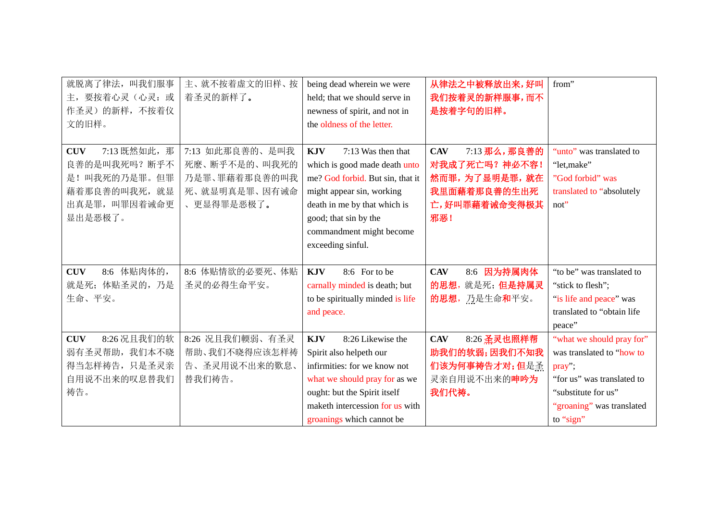| 就脱离了律法, 叫我们服事              | 主、就不按着虚文的旧样、按   | being dead wherein we were       | 从律法之中被释放出来,好叫               | from"                      |
|----------------------------|-----------------|----------------------------------|-----------------------------|----------------------------|
| 要按着心灵(心灵:或<br>主,           | 着圣灵的新样了。        | held; that we should serve in    | 我们按着灵的新样服事,而不               |                            |
| 作圣灵)的新样,不按着仪               |                 | newness of spirit, and not in    | 是按着字句的旧样。                   |                            |
| 文的旧样。                      |                 | the oldness of the letter.       |                             |                            |
|                            |                 |                                  |                             |                            |
| 7:13 既然如此, 那<br><b>CUV</b> | 7:13 如此那良善的、是叫我 | 7:13 Was then that<br><b>KJV</b> | 7:13 那么,那良善的<br><b>CAV</b>  | "unto" was translated to   |
| 良善的是叫我死吗? 断乎不              | 死麽、断乎不是的、叫我死的   | which is good made death unto    | 对我成了死亡吗? 神必不容!              | "let, make"                |
| 是!叫我死的乃是罪。但罪               | 乃是罪、罪藉着那良善的叫我   | me? God forbid. But sin, that it | 然而罪,为了显明是罪,就在               | "God forbid" was           |
| 藉着那良善的叫我死, 就显              | 死、就显明真是罪、因有诫命   | might appear sin, working        | 我里面藉着那良善的生出死                | translated to "absolutely  |
| 出真是罪,叫罪因着诫命更               | 、更显得罪是恶极了。      | death in me by that which is     | 亡,好叫罪藉着诫命变得极其               | $not$ "                    |
| 显出是恶极了。                    |                 | good; that sin by the            | 邪恶!                         |                            |
|                            |                 | commandment might become         |                             |                            |
|                            |                 | exceeding sinful.                |                             |                            |
|                            |                 |                                  |                             |                            |
| 8:6 体贴肉体的,<br><b>CUV</b>   | 8:6 体贴情欲的必要死、体贴 | <b>KJV</b><br>8:6 For to be      | 因为持属肉体<br><b>CAV</b><br>8:6 | "to be" was translated to  |
| 就是死; 体贴圣灵的, 乃是             | 圣灵的必得生命平安。      | carnally minded is death; but    | 的思想, 就是死; 但是持属灵             | "stick to flesh";          |
| 生命、平安。                     |                 | to be spiritually minded is life | 的思想,乃是生命和平安。                | "is life and peace" was    |
|                            |                 | and peace.                       |                             | translated to "obtain life |
|                            |                 |                                  |                             | peace"                     |
| 8:26 况且我们的软<br><b>CUV</b>  | 8:26 况且我们輭弱、有圣灵 | 8:26 Likewise the<br><b>KJV</b>  | 8:26 圣灵也照样帮<br><b>CAV</b>   | "what we should pray for"  |
| 弱有圣灵帮助, 我们本不晓              | 帮助、我们不晓得应该怎样祷   | Spirit also helpeth our          | 助我们的软弱;因我们不知我               | was translated to "how to  |
| 得当怎样祷告, 只是圣灵亲              | 告、圣灵用说不出来的歎息、   | infirmities: for we know not     | 们该为何事祷告才对;但是圣               | pray";                     |
| 自用说不出来的叹息替我们               | 替我们祷告。          | what we should pray for as we    | 灵亲自用说不出来的呻吟为                | "for us" was translated to |
| 祷告。                        |                 | ought: but the Spirit itself     | 我们代祷。                       | "substitute for us"        |
|                            |                 | maketh intercession for us with  |                             | "groaning" was translated  |
|                            |                 | groanings which cannot be        |                             | to "sign"                  |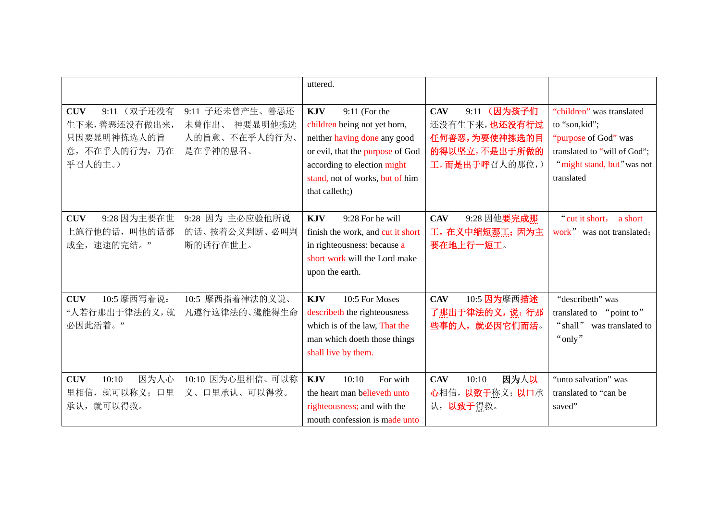|                                                                                      |                                                                  | uttered.                                                                                                                                                                                                              |                                                                                                |                                                                                                                                                 |
|--------------------------------------------------------------------------------------|------------------------------------------------------------------|-----------------------------------------------------------------------------------------------------------------------------------------------------------------------------------------------------------------------|------------------------------------------------------------------------------------------------|-------------------------------------------------------------------------------------------------------------------------------------------------|
| 9:11 (双子还没有<br><b>CUV</b><br>生下来,善恶还没有做出来,<br>只因要显明神拣选人的旨<br>意,不在乎人的行为,乃在<br>乎召人的主。) | 9:11 子还未曾产生、善恶还<br>神要显明他拣选<br>未曾作出、<br>人的旨意、不在乎人的行为、<br>是在乎神的恩召、 | $9:11$ (For the<br><b>KJV</b><br>children being not yet born,<br>neither having done any good<br>or evil, that the purpose of God<br>according to election might<br>stand, not of works, but of him<br>that calleth;) | 9:11 (因为孩子们<br><b>CAV</b><br>还没有生下来,也还没有行过<br>任何善恶,为要使神拣选的目<br>的得以坚立,不是出于所做的<br>工,而是出于呼召人的那位,) | "children" was translated<br>to "son, kid";<br>"purpose of God" was<br>translated to "will of God";<br>"might stand, but" was not<br>translated |
| 9:28 因为主要在世<br><b>CUV</b><br>上施行他的话,叫他的话都<br>成全,速速的完结。"                              | 9:28 因为 主必应验他所说<br>的话、按着公义判断、必叫判<br>断的话行在世上。                     | <b>KJV</b><br>9:28 For he will<br>finish the work, and cut it short<br>in righteousness: because a<br>short work will the Lord make<br>upon the earth.                                                                | 9:28 因他要完成那<br><b>CAV</b><br>工, 在义中缩短那工; 因为主<br>要在地上行一短工。                                      | " cut it short,<br>a short<br>work" was not translated;                                                                                         |
| 10:5 摩西写着说:<br><b>CUV</b><br>"人若行那出于律法的义,就<br>必因此活着。"                                | 10:5 摩西指着律法的义说、<br>凡遵行这律法的、纔能得生命                                 | <b>KJV</b><br>10:5 For Moses<br>describeth the righteousness<br>which is of the law, That the<br>man which doeth those things<br>shall live by them.                                                                  | 10:5 因为摩西描述<br><b>CAV</b><br>了那出于律法的义,说:行那<br>些事的人, 就必因它们而活。                                   | "describeth" was<br>translated to "point to"<br>"shall" was translated to<br>"only"                                                             |
| 10:10<br>因为人心<br><b>CUV</b><br>就可以称义;口里<br>里相信,<br>承认, 就可以得救。                        | 10:10 因为心里相信、可以称<br>义、口里承认、可以得救。                                 | <b>KJV</b><br>10:10<br>For with<br>the heart man believeth unto<br>righteousness; and with the<br>mouth confession is made unto                                                                                       | 因为人以<br><b>CAV</b><br>10:10<br>心相信, 以致于称义; 以口承<br>认, <b>以致于</b> 得救。                            | "unto salvation" was<br>translated to "can be<br>saved"                                                                                         |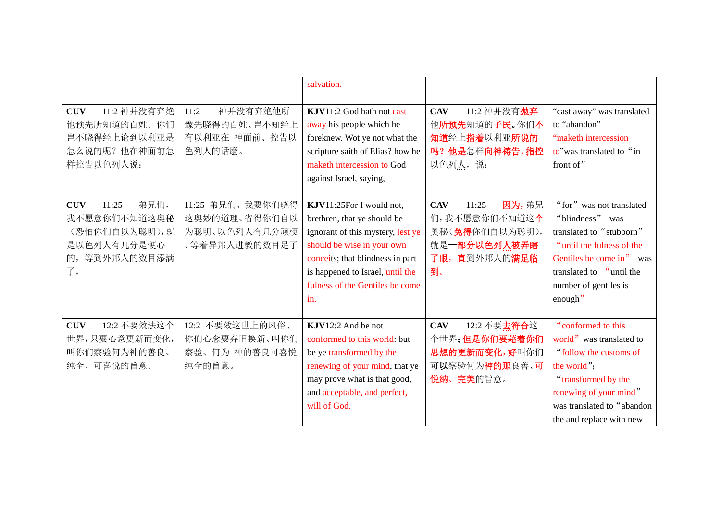|                                                                                                       |                                                                     | salvation.                                                                                                                                                                                                                                   |                                                                                                       |                                                                                                                                                                                                    |
|-------------------------------------------------------------------------------------------------------|---------------------------------------------------------------------|----------------------------------------------------------------------------------------------------------------------------------------------------------------------------------------------------------------------------------------------|-------------------------------------------------------------------------------------------------------|----------------------------------------------------------------------------------------------------------------------------------------------------------------------------------------------------|
| 11:2 神并没有弃绝<br><b>CUV</b><br>他预先所知道的百姓。你们<br>岂不晓得经上论到以利亚是<br>怎么说的呢?他在神面前怎<br>样控告以色列人说:                | 神并没有弃绝他所<br>11:2<br>豫先晓得的百姓、岂不知经上<br>有以利亚在 神面前、控告以<br>色列人的话麽。       | KJV11:2 God hath not cast<br>away his people which he<br>foreknew. Wot ye not what the<br>scripture saith of Elias? how he<br>maketh intercession to God<br>against Israel, saying,                                                          | 11:2 神并没有 <b>抛弃</b><br><b>CAV</b><br>他所预先知道的子民。你们不<br>知道经上指着以利亚所说的<br>吗?他是怎样向神祷告,指控<br>以色列人,说:        | "cast away" was translated<br>to "abandon"<br>"maketh intercession<br>to" was translated to "in<br>front of"                                                                                       |
| 弟兄们,<br><b>CUV</b><br>11:25<br>我不愿意你们不知道这奥秘<br>(恐怕你们自以为聪明),就<br>是以色列人有几分是硬心<br>等到外邦人的数目添满<br>的,<br>了, | 11:25 弟兄们、我要你们晓得<br>这奥妙的道理、省得你们自以<br>为聪明、以色列人有几分顽梗<br>、等着异邦人进教的数目足了 | KJV11:25For I would not,<br>brethren, that ye should be<br>ignorant of this mystery, lest ye<br>should be wise in your own<br>conceits; that blindness in part<br>is happened to Israel, until the<br>fulness of the Gentiles be come<br>in. | 因为,弟兄<br><b>CAV</b><br>11:25<br>们,我不愿意你们不知道这个<br>奥秘(免得你们自以为聪明),<br>就是一部分以色列人被弄瞎<br>了眼,直到外邦人的满足临<br>到。 | "for" was not translated<br>"blindness" was<br>translated to "stubborn"<br>"until the fulness of the<br>Gentiles be come in" was<br>translated to "until the<br>number of gentiles is<br>enough"   |
| 12:2 不要效法这个<br><b>CUV</b><br>世界,只要心意更新而变化,<br>叫你们察验何为神的善良、<br>纯全、可喜悦的旨意。                              | 12:2 不要效这世上的风俗、<br>你们心念要弃旧换新、叫你们<br>察验、何为 神的善良可喜悦<br>纯全的旨意。         | KJV12:2 And be not<br>conformed to this world: but<br>be ye transformed by the<br>renewing of your mind, that ye<br>may prove what is that good,<br>and acceptable, and perfect,<br>will of God.                                             | 12:2 不要去符合这<br><b>CAV</b><br>个世界;但是你们要藉着你们<br>思想的更新而变化,好叫你们<br>可以察验何为神的那良善、可<br>悦纳、完美的旨意。             | "conformed to this<br>world" was translated to<br>"follow the customs of<br>the world";<br>"transformed by the<br>renewing of your mind"<br>was translated to "abandon<br>the and replace with new |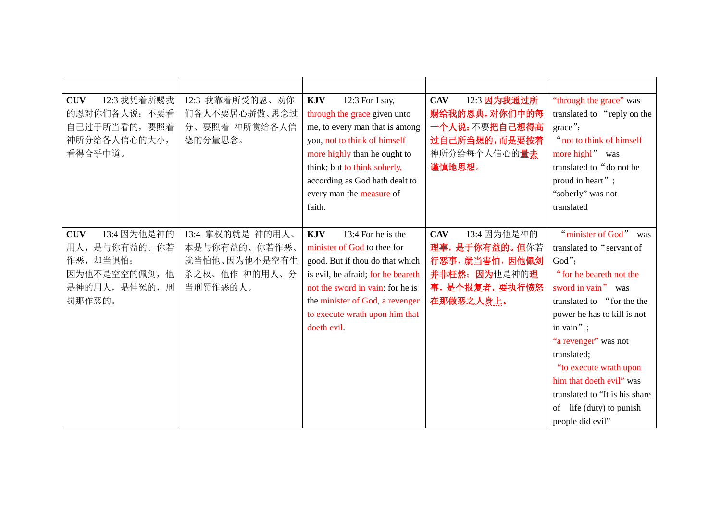| 12:3 我凭着所赐我<br><b>CUV</b><br>的恩对你们各人说: 不要看<br>自己过于所当看的, 要照着<br>神所分给各人信心的大小,<br>看得合乎中道。            | 12:3 我靠着所受的恩、劝你<br>们各人不要居心骄傲、思念过<br>分、要照着 神所赏给各人信<br>德的分量思念。                    | <b>KJV</b><br>12:3 For I say,<br>through the grace given unto<br>me, to every man that is among<br>you, not to think of himself<br>more highly than he ought to<br>think; but to think soberly,<br>according as God hath dealt to<br>every man the measure of<br>faith. | 12:3 因为我通过所<br><b>CAV</b><br>赐给我的恩典,对你们中的每<br>一个人说:不要把自己想得高<br>过自己所当想的,而是要按着<br>神所分给每个人信心的量去<br>谨慎地思想。      | "through the grace" was<br>translated to "reply on the<br>$\text{grace}$ ";<br>" not to think of himself<br>more highl" was<br>translated to "do not be<br>proud in heart";<br>"soberly" was not<br>translated                                                                                                                                                              |
|---------------------------------------------------------------------------------------------------|---------------------------------------------------------------------------------|-------------------------------------------------------------------------------------------------------------------------------------------------------------------------------------------------------------------------------------------------------------------------|-------------------------------------------------------------------------------------------------------------|-----------------------------------------------------------------------------------------------------------------------------------------------------------------------------------------------------------------------------------------------------------------------------------------------------------------------------------------------------------------------------|
| 13:4 因为他是神的<br><b>CUV</b><br>用人,是与你有益的。你若<br>作恶,却当惧怕;<br>因为他不是空空的佩剑,他<br>是神的用人, 是伸冤的, 刑<br>罚那作恶的。 | 13:4 掌权的就是 神的用人、<br>本是与你有益的、你若作恶、<br>就当怕他、因为他不是空有生<br>杀之权、他作 神的用人、分<br>当刑罚作恶的人。 | 13:4 For he is the<br><b>KJV</b><br>minister of God to thee for<br>good. But if thou do that which<br>is evil, be afraid; for he beareth<br>not the sword in vain: for he is<br>the minister of God, a revenger<br>to execute wrath upon him that<br>doeth evil.        | <b>CAV</b><br>13:4 因为他是神的<br>理事,是于你有益的。但你若<br>行恶事, 就当害怕, 因他佩剑<br>并非枉然;因为他是神的理<br>事,是个报复者,要执行愤怒<br>在那做恶之人身上。 | "minister of God" was<br>translated to "servant of<br>God";<br>"for he beareth not the<br>sword in vain" was<br>translated to "for the the<br>power he has to kill is not<br>in vain" $\;$ ;<br>"a revenger" was not<br>translated;<br>"to execute wrath upon<br>him that doeth evil" was<br>translated to "It is his share<br>of life (duty) to punish<br>people did evil" |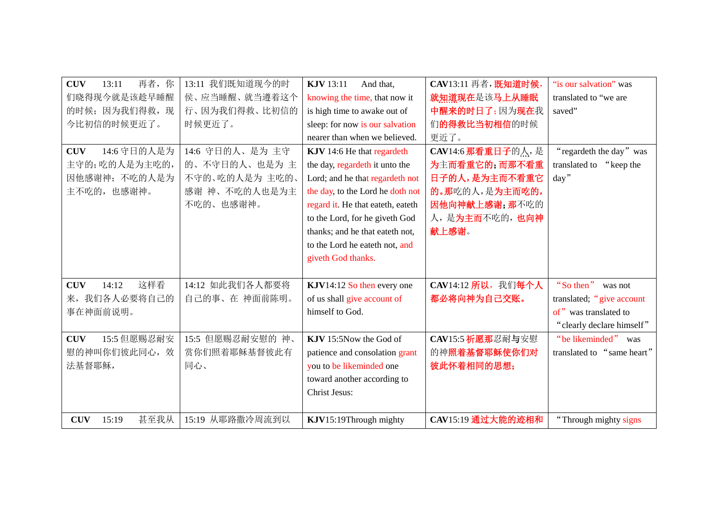| 再者,你<br><b>CUV</b><br>13:11 | 13:11 我们既知道现今的时  | <b>KJV</b> 13:11<br>And that,     | CAV13:11 再者, 既知道时候, | "is our salvation" was     |
|-----------------------------|------------------|-----------------------------------|---------------------|----------------------------|
| 们晓得现今就是该趁早睡醒                | 侯、应当睡醒、就当遵着这个    | knowing the time, that now it     | 就知道现在是该马上从睡眠        | translated to "we are      |
| 的时候; 因为我们得救, 现              | 行、因为我们得救、比初信的    | is high time to awake out of      | 中醒来的时日了;因为现在我       | saved"                     |
| 今比初信的时候更近了。                 | 时候更近了。           | sleep: for now is our salvation   | 们的得救比当初相信的时候        |                            |
|                             |                  | nearer than when we believed.     | 更近了。                |                            |
| 14:6 守日的人是为<br><b>CUV</b>   | 14:6 守日的人、是为主守   | KJV 14:6 He that regardeth        | CAV14:6 那看重日子的人,是   | "regardeth the day" was    |
| 主守的;吃的人是为主吃的,               | 的、不守日的人、也是为主     | the day, regardeth it unto the    | 为主而看重它的;而那不看重       | translated to "keep the    |
| 因他感谢神;不吃的人是为                | 不守的、吃的人是为主吃的、    | Lord; and he that regardeth not   | 日子的人,是为主而不看重它       | day''                      |
| 主不吃的,也感谢神。                  | 感谢 神、不吃的人也是为主    | the day, to the Lord he doth not  | 的。那吃的人,是为主而吃的,      |                            |
|                             | 不吃的、也感谢神。        | regard it. He that eateth, eateth | 因他向神献上感谢;那不吃的       |                            |
|                             |                  | to the Lord, for he giveth God    | 人,是为主而不吃的,也向神       |                            |
|                             |                  | thanks; and he that eateth not,   | 献上感谢。               |                            |
|                             |                  | to the Lord he eateth not, and    |                     |                            |
|                             |                  | giveth God thanks.                |                     |                            |
|                             |                  |                                   |                     |                            |
| 这样看<br><b>CUV</b><br>14:12  | 14:12 如此我们各人都要将  | KJV14:12 So then every one        | CAV14:12 所以, 我们每个人  | "So then"<br>was not       |
| 我们各人必要将自己的<br>来,            | 自己的事、在 神面前陈明。    | of us shall give account of       | 都必将向神为自己交账。         | translated; "give account  |
| 事在神面前说明。                    |                  | himself to God.                   |                     | of" was translated to      |
|                             |                  |                                   |                     | "clearly declare himself"  |
| 15:5 但愿赐忍耐安<br><b>CUV</b>   | 15:5 但愿赐忍耐安慰的 神、 | KJV 15:5Now the God of            | CAV15:5 祈愿那忍耐与安慰    | "be likeminded" was        |
| 慰的神叫你们彼此同心,效                | 赏你们照着耶稣基督彼此有     | patience and consolation grant    | 的神照着基督耶稣使你们对        | translated to "same heart" |
| 法基督耶稣,                      | 同心、              | you to be likeminded one          | 彼此怀着相同的思想;          |                            |
|                             |                  | toward another according to       |                     |                            |
|                             |                  | <b>Christ Jesus:</b>              |                     |                            |
|                             |                  |                                   |                     |                            |
| 甚至我从<br><b>CUV</b><br>15:19 | 15:19 从耶路撒冷周流到以  | KJV15:19Through mighty            | CAV15:19 通过大能的迹相和   | "Through mighty signs      |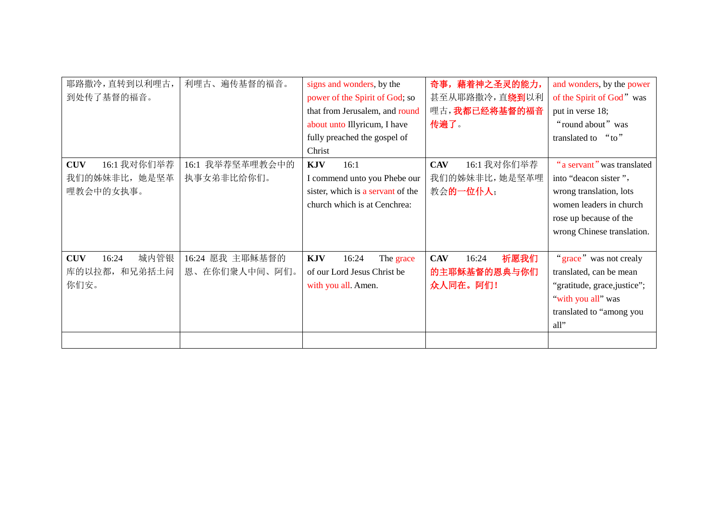| 耶路撒冷,直转到以利哩古,<br>到处传了基督的福音。                             | 利哩古、遍传基督的福音。                         | signs and wonders, by the<br>power of the Spirit of God; so<br>that from Jerusalem, and round<br>about unto Illyricum, I have<br>fully preached the gospel of<br>Christ | 奇事,藉着神之圣灵的能力,<br>甚至从耶路撒冷,直绕到以利<br>哩古,我都已经将基督的福音<br>传遍了。 | and wonders, by the power<br>of the Spirit of God" was<br>put in verse 18;<br>"round about" was<br>" $t_0$ "<br>translated to                                     |
|---------------------------------------------------------|--------------------------------------|-------------------------------------------------------------------------------------------------------------------------------------------------------------------------|---------------------------------------------------------|-------------------------------------------------------------------------------------------------------------------------------------------------------------------|
| 16:1 我对你们举荐<br><b>CUV</b><br>我们的姊妹非比,她是坚革<br>哩教会中的女执事。  | 16:1 我举荐坚革哩教会中的<br>执事女弟非比给你们。        | <b>KJV</b><br>16:1<br>I commend unto you Phebe our<br>sister, which is a servant of the<br>church which is at Cenchrea:                                                 | 16:1 我对你们举荐<br><b>CAV</b><br>我们的姊妹非比,她是坚革哩<br>教会的一位仆人;  | "a servant" was translated<br>into "deacon sister",<br>wrong translation, lots<br>women leaders in church<br>rose up because of the<br>wrong Chinese translation. |
| 城内管银<br><b>CUV</b><br>16:24<br>库的以拉都,<br>和兄弟括土问<br>你们安。 | 16:24 愿我 主耶稣基督的<br>在你们衆人中间、阿们。<br>恩、 | <b>KJV</b><br>16:24<br>The grace<br>of our Lord Jesus Christ be<br>with you all. Amen.                                                                                  | 祈愿我们<br><b>CAV</b><br>16:24<br>的主耶稣基督的恩典与你们<br>众人同在。阿们! | "grace" was not crealy<br>translated, can be mean<br>"gratitude, grace, justice";<br>"with you all" was<br>translated to "among you<br>all"                       |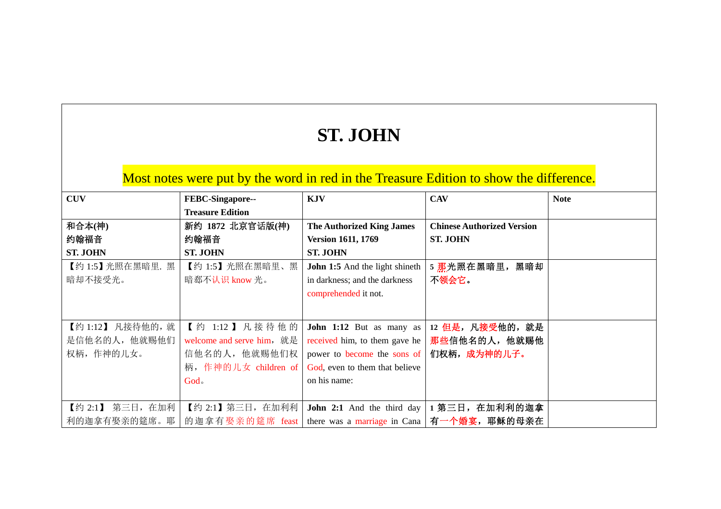## **ST. JOHN**

## Most notes were put by the word in red in the Treasure Edition to show the difference.

| <b>CUV</b>        | FEBC-Singapore--          | <b>KJV</b>                                                                 | <b>CAV</b>                        | <b>Note</b> |
|-------------------|---------------------------|----------------------------------------------------------------------------|-----------------------------------|-------------|
|                   | <b>Treasure Edition</b>   |                                                                            |                                   |             |
| 和合本(神)            | 新约 1872 北京官话版(神)          | <b>The Authorized King James</b>                                           | <b>Chinese Authorized Version</b> |             |
| 约翰福音              | 约翰福音                      | <b>Version 1611, 1769</b>                                                  | <b>ST. JOHN</b>                   |             |
| <b>ST. JOHN</b>   | <b>ST. JOHN</b>           | <b>ST. JOHN</b>                                                            |                                   |             |
| 【约1:5】光照在黑暗里. 黑   | 【约 1:5】光照在黑暗里、黑           | <b>John 1:5</b> And the light shineth                                      | 5 那光照在黑暗里, 黑暗却                    |             |
| 暗却不接受光。           | 暗郄不认识 know 光。             | in darkness; and the darkness                                              | 不领会它。                             |             |
|                   |                           | comprehended it not.                                                       |                                   |             |
|                   |                           |                                                                            |                                   |             |
| 【约 1:12】 凡接待他的, 就 | 【约 1:12】凡接待他的             | John 1:12 But as many as                                                   | 12 但是, 凡接受他的, 就是                  |             |
| 是信他名的人,他就赐他们      | welcome and serve him, 就是 | received him, to them gave he                                              | 那些信他名的人,他就赐他                      |             |
|                   |                           |                                                                            |                                   |             |
| 权柄,作神的儿女。         | 信他名的人, 他就赐他们权             | power to become the sons of                                                | 们权柄, 成为神的儿子。                      |             |
|                   | 柄, 作神的儿女 children of      | God, even to them that believe                                             |                                   |             |
|                   | God.                      | on his name:                                                               |                                   |             |
|                   |                           |                                                                            |                                   |             |
| 【约 2:1】 第三日, 在加利  | 【约 2:1】 第三日, 在加利利         | John 2:1 And the third day                                                 | 1 第三日, 在加利利的迦拿                    |             |
| 利的迦拿有娶亲的筵席。耶      | 的迦拿有娶亲的筵席 feast           | there was a marriage in Cana $ \overline{A} - \hat{\phi} $ $\frac{1}{2}$ , | 耶稣的母亲在                            |             |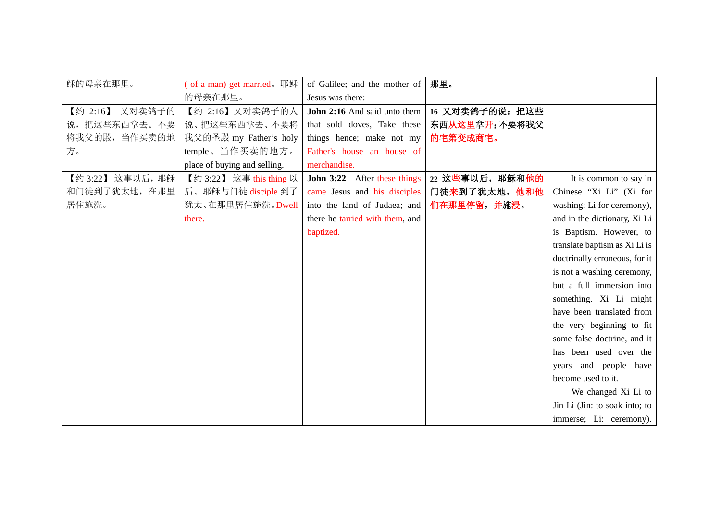| 稣的母亲在那里。         | (of a man) get married. 耶稣   | of Galilee; and the mother of   | 那里。             |                               |
|------------------|------------------------------|---------------------------------|-----------------|-------------------------------|
|                  | 的母亲在那里。                      | Jesus was there:                |                 |                               |
| 【约 2:16】 又对卖鸽子的  | 【约 2:16】又对卖鸽子的人              | John 2:16 And said unto them    | 16 又对卖鸽子的说: 把这些 |                               |
| 说, 把这些东西拿去。不要    | 说、把这些东西拿去、不要将                | that sold doves, Take these     | 东西从这里拿开;不要将我父   |                               |
| 将我父的殿, 当作买卖的地    | 我父的圣殿 my Father's holy       | things hence; make not my       | 的宅第变成商宅。        |                               |
| 方。               | temple、当作买卖的地方。              | Father's house an house of      |                 |                               |
|                  | place of buying and selling. | merchandise.                    |                 |                               |
| 【约 3:22】这事以后, 耶稣 | 【约 3:22】 这事 this thing 以     | John 3:22 After these things    | 22 这些事以后, 耶稣和他的 | It is common to say in        |
| 和门徒到了犹太地, 在那里    | 后、耶稣与门徒 disciple 到了          | came Jesus and his disciples    | 门徒来到了犹太地,他和他    | Chinese "Xi Li" (Xi for       |
| 居住施洗。            | 犹太、在那里居住施洗。Dwell             | into the land of Judaea; and    | 们在那里停留,并施浸。     | washing; Li for ceremony),    |
|                  | there.                       | there he tarried with them, and |                 | and in the dictionary, Xi Li  |
|                  |                              | baptized.                       |                 | is Baptism. However, to       |
|                  |                              |                                 |                 | translate baptism as Xi Li is |
|                  |                              |                                 |                 | doctrinally erroneous, for it |
|                  |                              |                                 |                 | is not a washing ceremony,    |
|                  |                              |                                 |                 | but a full immersion into     |
|                  |                              |                                 |                 | something. Xi Li might        |
|                  |                              |                                 |                 | have been translated from     |
|                  |                              |                                 |                 | the very beginning to fit     |
|                  |                              |                                 |                 | some false doctrine, and it   |
|                  |                              |                                 |                 | has been used over the        |
|                  |                              |                                 |                 | years and people have         |
|                  |                              |                                 |                 | become used to it.            |
|                  |                              |                                 |                 | We changed Xi Li to           |
|                  |                              |                                 |                 | Jin Li (Jin: to soak into; to |
|                  |                              |                                 |                 | immerse; Li: ceremony).       |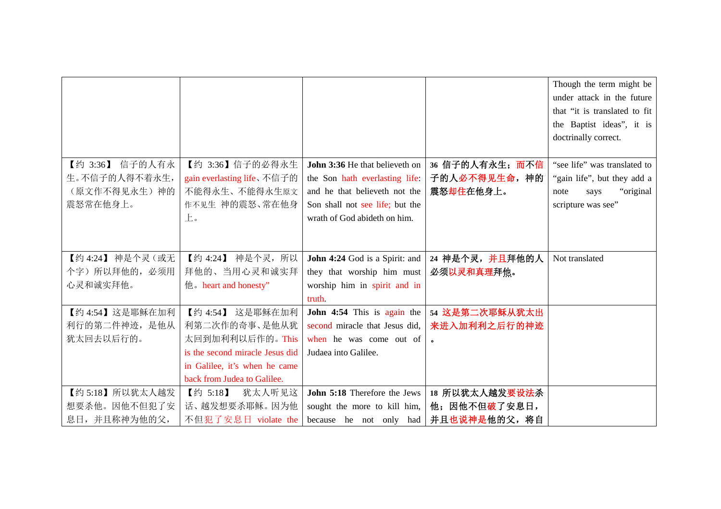|                  |                                 |                                 |                 | Though the term might be      |
|------------------|---------------------------------|---------------------------------|-----------------|-------------------------------|
|                  |                                 |                                 |                 | under attack in the future    |
|                  |                                 |                                 |                 | that "it is translated to fit |
|                  |                                 |                                 |                 | the Baptist ideas", it is     |
|                  |                                 |                                 |                 | doctrinally correct.          |
|                  |                                 |                                 |                 |                               |
| 【约 3:36】 信子的人有永  | 【约 3:36】信子的必得永生                 | John 3:36 He that believeth on  | 36 信子的人有永生; 而不信 | "see life" was translated to  |
| 生。不信子的人得不着永生,    | gain everlasting life、不信子的      | the Son hath everlasting life:  | 子的人必不得见生命, 神的   | "gain life", but they add a   |
| (原文作不得见永生)神的     | 不能得永生、不能得永生原文                   | and he that believeth not the   | 震怒却住在他身上。       | "original"<br>note<br>says    |
| 震怒常在他身上。         | 作不见生 神的震怒、常在他身                  | Son shall not see life; but the |                 | scripture was see"            |
|                  | 上。                              | wrath of God abideth on him.    |                 |                               |
|                  |                                 |                                 |                 |                               |
|                  |                                 |                                 |                 |                               |
| 【约 4:24】 神是个灵(或无 | 【约 4:24】 神是个灵, 所以               | John 4:24 God is a Spirit: and  | 24 神是个灵,并且拜他的人  | Not translated                |
| 个字)所以拜他的,必须用     | 拜他的、当用心灵和诚实拜                    | they that worship him must      | 必须以灵和真理拜他。      |                               |
| 心灵和诚实拜他。         | 他。heart and honesty"            | worship him in spirit and in    |                 |                               |
|                  |                                 | truth.                          |                 |                               |
| 【约 4:54】这是耶稣在加利  | 【约 4:54】<br>这是耶稣在加利             | John 4:54 This is again the     | 54 这是第二次耶稣从犹太出  |                               |
| 利行的第二件神迹, 是他从    | 利第二次作的奇事、是他从犹                   | second miracle that Jesus did,  | 来进入加利利之后行的神迹    |                               |
| 犹太回去以后行的。        | 太回到加利利以后作的。This                 | when he was come out of         |                 |                               |
|                  | is the second miracle Jesus did | Judaea into Galilee.            |                 |                               |
|                  | in Galilee, it's when he came   |                                 |                 |                               |
|                  | back from Judea to Galilee.     |                                 |                 |                               |
| 【约5:18】所以犹太人越发   | 【约 5:18】<br>犹太人听见这              | John 5:18 Therefore the Jews    | 18 所以犹太人越发要设法杀  |                               |
| 想要杀他。因他不但犯了安     | 话、越发想要杀耶稣。因为他                   | sought the more to kill him,    | 他;因他不但破了安息日,    |                               |
| 息日,并且称神为他的父,     | 不但犯了安息日 violate the             | because he not only had         | 并且也说神是他的父, 将自   |                               |
|                  |                                 |                                 |                 |                               |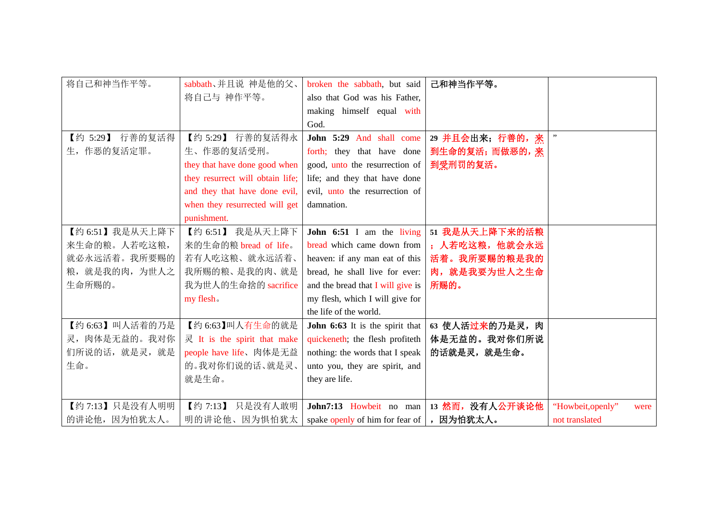| 将自己和神当作平等。      | sabbath、并且说 神是他的父、               | broken the sabbath, but said      | 己和神当作平等。         |                           |
|-----------------|----------------------------------|-----------------------------------|------------------|---------------------------|
|                 | 将自己与 神作平等。                       | also that God was his Father,     |                  |                           |
|                 |                                  | making himself equal with         |                  |                           |
|                 |                                  | God.                              |                  |                           |
| 【约 5:29】 行善的复活得 | 【约 5:29】 行善的复活得永                 | John 5:29 And shall come          | 29 并且会出来; 行善的, 来 |                           |
| 生,作恶的复活定罪。      | 生、作恶的复活受刑。                       | forth; they that have done        | 到生命的复活;而做恶的,来    |                           |
|                 | they that have done good when    | good, unto the resurrection of    | 到受刑罚的复活。         |                           |
|                 | they resurrect will obtain life; | life; and they that have done     |                  |                           |
|                 | and they that have done evil,    | evil, unto the resurrection of    |                  |                           |
|                 | when they resurrected will get   | damnation.                        |                  |                           |
|                 | punishment.                      |                                   |                  |                           |
| 【约 6:51】我是从天上降下 | 【约 6:51】 我是从天上降下                 | John 6:51 I am the living         | 51 我是从天上降下来的活粮   |                           |
| 来生命的粮。人若吃这粮,    | 来的生命的粮 bread of life。            | bread which came down from        | ; 人若吃这粮, 他就会永远   |                           |
| 就必永远活着。我所要赐的    | 若有人吃这粮、就永远活着、                    | heaven: if any man eat of this    | 活着。我所要赐的粮是我的     |                           |
| 粮, 就是我的肉, 为世人之  | 我所赐的粮、是我的肉、就是                    | bread, he shall live for ever:    | 肉, 就是我要为世人之生命    |                           |
| 生命所赐的。          | 我为世人的生命捨的 sacrifice              | and the bread that I will give is | 所赐的。             |                           |
|                 | my flesh.                        | my flesh, which I will give for   |                  |                           |
|                 |                                  | the life of the world.            |                  |                           |
| 【约 6:63】叫人活着的乃是 | 【约 6:63】叫人有生命的就是                 | John 6:63 It is the spirit that   | 63 使人活过来的乃是灵, 肉  |                           |
| 灵, 肉体是无益的。我对你   | 灵 It is the spirit that make     | quickeneth; the flesh profiteth   | 体是无益的。我对你们所说     |                           |
| 们所说的话, 就是灵, 就是  | people have life、肉体是无益           | nothing: the words that I speak   | 的话就是灵, 就是生命。     |                           |
| 生命。             | 的。我对你们说的话、就是灵、                   | unto you, they are spirit, and    |                  |                           |
|                 | 就是生命。                            | they are life.                    |                  |                           |
|                 |                                  |                                   |                  |                           |
| 【约 7:13】只是没有人明明 | 【约 7:13】<br>只是没有人敢明              | John7:13 Howbeit no man           | 13 然而, 没有人公开谈论他  | "Howbeit, openly"<br>were |
| 的讲论他,因为怕犹太人。    | 明的讲论他、因为惧怕犹太                     | spake openly of him for fear of   | ,因为怕犹太人。         | not translated            |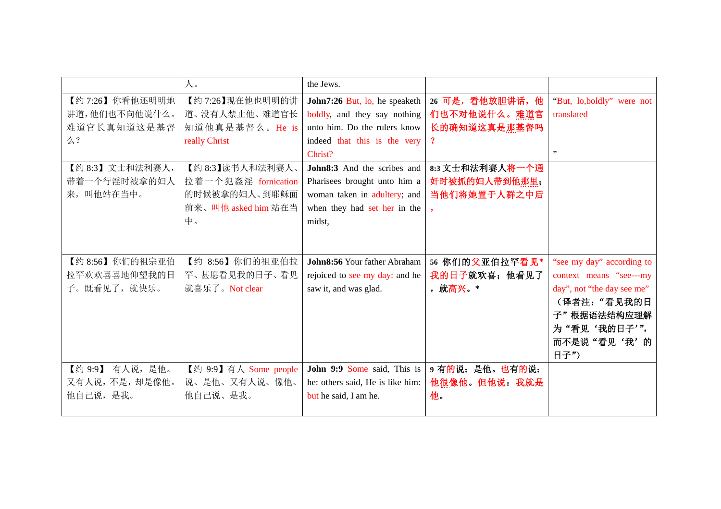|                  | 人。                    | the Jews.                        |                 |                            |
|------------------|-----------------------|----------------------------------|-----------------|----------------------------|
| 【约 7:26】你看他还明明地  | 【约7:26】现在他也明明的讲       | John7:26 But, lo, he speaketh    | 26 可是,看他放胆讲话,他  | "But, lo,boldly" were not  |
| 讲道,他们也不向他说什么。    | 道、没有人禁止他、难道官长         | boldly, and they say nothing     | 们也不对他说什么。难道官    | translated                 |
| 难道官长真知道这是基督      | 知道他真是基督么。He is        | unto him. Do the rulers know     | 长的确知道这真是那基督吗    |                            |
| 么?               | really Christ         | indeed that this is the very     | $\mathbf 3$     |                            |
|                  |                       | Christ?                          |                 | , ,                        |
| 【约 8:3】文士和法利赛人,  | 【约8:3】读书人和法利赛人、       | John8:3 And the scribes and      | 8:3 文士和法利赛人将一个通 |                            |
| 带着一个行淫时被拿的妇人     | 拉着一个犯姦淫 fornication   | Pharisees brought unto him a     | 奸时被抓的妇人带到他那里;   |                            |
| 来,叫他站在当中。        | 的时候被拿的妇人、到耶稣面         | woman taken in adultery; and     | 当他们将她置于人群之中后    |                            |
|                  | 前来、叫他 asked him 站在当   | when they had set her in the     |                 |                            |
|                  | 中。                    | midst,                           |                 |                            |
|                  |                       |                                  |                 |                            |
|                  |                       |                                  |                 |                            |
| 【约 8:56】你们的祖宗亚伯  | 【约 8:56】你们的祖亚伯拉       | John8:56 Your father Abraham     | 56 你们的父亚伯拉罕看见*  | "see my day" according to  |
| 拉罕欢欢喜喜地仰望我的日     | 罕、甚愿看见我的日子、看见         | rejoiced to see my day: and he   | 我的日子就欢喜;他看见了    | context means "see---my    |
| 子。既看见了, 就快乐。     | 就喜乐了。Not clear        | saw it, and was glad.            | ,就高兴。*          | day", not "the day see me" |
|                  |                       |                                  |                 | (译者注:"看见我的日                |
|                  |                       |                                  |                 | 子"根据语法结构应理解                |
|                  |                       |                                  |                 | 为"看见'我的日子'",               |
|                  |                       |                                  |                 | 而不是说"看见'我'的                |
|                  |                       |                                  |                 | 日子")                       |
| 【约 9:9】 有人说, 是他。 | 【约 9:9】有人 Some people | John 9:9 Some said, This is      | 9 有的说: 是他。也有的说: |                            |
| 又有人说,不是,却是像他。    | 说、是他、又有人说、像他、         | he: others said, He is like him: | 他很像他。但他说: 我就是   |                            |
| 他自己说,是我。         | 他自己说、是我。              | but he said, I am he.            | 他。              |                            |
|                  |                       |                                  |                 |                            |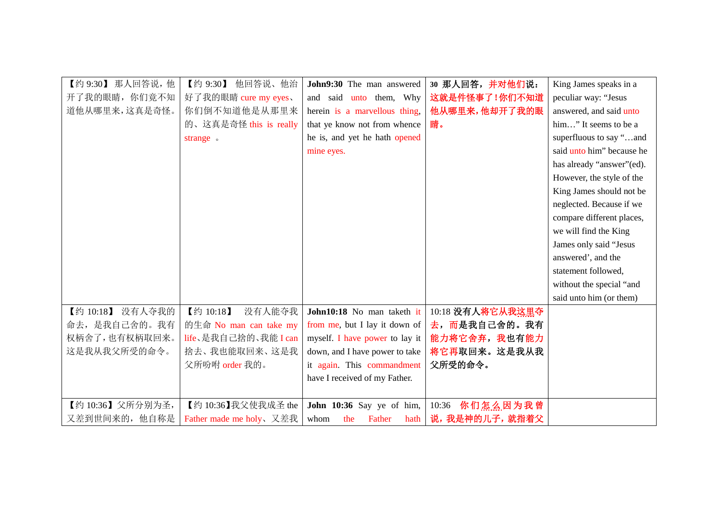| 【约 9:30】 那人回答说, 他 | 【约 9:30】<br>他回答说、他治            | John9:30 The man answered      | 30 那人回答,并对他们说:   | King James speaks in a    |
|-------------------|--------------------------------|--------------------------------|------------------|---------------------------|
| 开了我的眼睛, 你们竟不知     | 好了我的眼睛 cure my eyes、           | and said unto them, Why        | 这就是件怪事了!你们不知道    | peculiar way: "Jesus      |
| 道他从哪里来,这真是奇怪。     | 你们倒不知道他是从那里来                   | herein is a marvellous thing,  | 他从哪里来,他却开了我的眼    | answered, and said unto   |
|                   | 的、这真是奇怪 this is really         | that ye know not from whence   | 睛。               | him" It seems to be a     |
|                   | strange.                       | he is, and yet he hath opened  |                  | superfluous to say "and   |
|                   |                                | mine eyes.                     |                  | said unto him" because he |
|                   |                                |                                |                  | has already "answer"(ed). |
|                   |                                |                                |                  | However, the style of the |
|                   |                                |                                |                  | King James should not be  |
|                   |                                |                                |                  | neglected. Because if we  |
|                   |                                |                                |                  | compare different places, |
|                   |                                |                                |                  | we will find the King     |
|                   |                                |                                |                  | James only said "Jesus    |
|                   |                                |                                |                  | answered', and the        |
|                   |                                |                                |                  | statement followed,       |
|                   |                                |                                |                  | without the special "and  |
|                   |                                |                                |                  | said unto him (or them)   |
| 【约 10:18】 没有人夺我的  | 【约 10:18】<br>没有人能夺我            | John10:18 No man taketh it     | 10:18 没有人将它从我这里夺 |                           |
| 命去, 是我自己舍的。我有     | 的生命 No man can take my         | from me, but I lay it down of  | 去, 而是我自己舍的。我有    |                           |
| 权柄舍了,也有权柄取回来。     | life、是我自己捨的、我能 I can           | myself. I have power to lay it | 能力将它舍弃, 我也有能力    |                           |
| 这是我从我父所受的命令。      | 捨去、我也能取回来、这是我                  | down, and I have power to take | 将它再取回来。这是我从我     |                           |
|                   | 父所吩咐 order 我的。                 | it again. This commandment     | 父所受的命令。          |                           |
|                   |                                | have I received of my Father.  |                  |                           |
|                   |                                |                                |                  |                           |
| 【约10:36】父所分别为圣,   | 【约 10:36】我父使我成圣 the            | John 10:36 Say ye of him,      | 10:36 你们怎么因为我曾   |                           |
| 又差到世间来的, 他自称是     | <b>Father made me holy</b> 又差我 | Father<br>whom<br>the<br>hath  | 说,我是神的儿子, 就指着父   |                           |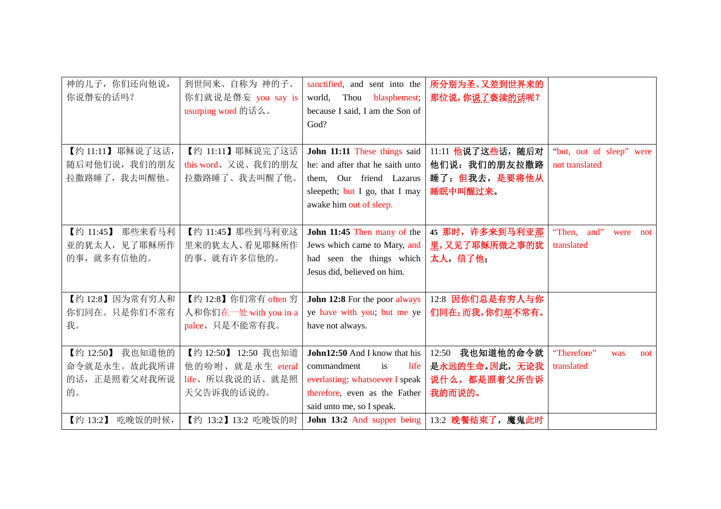| 神的儿子, 你们还向他说,                | 到世间来、自称为神的子、          | sanctified, and sent into the                       | 所分别为圣、又差到世界来的                       |                            |
|------------------------------|-----------------------|-----------------------------------------------------|-------------------------------------|----------------------------|
| 你说僭妄的话吗?                     | 你们就说是僭妄 you say is    | world,<br>Thou<br>blasphemest;                      | 那位说,你说了亵渎的话呢?                       |                            |
|                              | usurping word 的话么。    | because I said, I am the Son of                     |                                     |                            |
|                              |                       | God?                                                |                                     |                            |
|                              |                       |                                                     |                                     |                            |
| 【约11:11】耶稣说了这话,              | 【约 11:11】 耶稣说完了这话     | John 11:11 These things said                        | 11:11 他说了这些话, 随后对                   | "but, out of sleep" were   |
| 随后对他们说,我们的朋友                 | this word、又说、我们的朋友    | he: and after that he saith unto                    | 他们说: 我们的朋友拉撒路                       | not translated             |
| 拉撒路睡了, 我去叫醒他。                | 拉撒路睡了、我去叫醒了他。         | them, Our friend Lazarus                            | 睡了; 但我去, 是要将他从                      |                            |
|                              |                       | sleepeth; but I go, that I may                      | 睡眠中叫醒过来。                            |                            |
|                              |                       | awake him out of sleep.                             |                                     |                            |
|                              |                       |                                                     |                                     |                            |
| 那些来看马利<br>【约 11:45】          | 【约 11:45】那些到马利亚这      | John 11:45 Then many of the                         | 45 那时, 许多来到马利亚那                     | "Then, and"<br>were<br>not |
| 亚的犹太人, 见了耶稣所作                | 里来的犹太人、看见耶稣所作         | Jews which came to Mary, and                        | 里,又见了耶稣所做之事的犹                       | translated                 |
| 的事, 就多有信他的。                  | 的事、就有许多信他的。           | had seen the things which                           | 太人, 信了他;                            |                            |
|                              |                       | Jesus did, believed on him.                         |                                     |                            |
|                              |                       |                                                     |                                     |                            |
| 【约 12:8】因为常有穷人和              | 【约 12:8】你们常有 often 穷  | John 12:8 For the poor always                       | 12:8 因你们总是有穷人与你                     |                            |
| 你们同在。只是你们不常有                 | 人和你们在一处 with you in a | ye have with you; but me ye                         | 们同在;而我,你们却不常有。                      |                            |
| 我。                           | palce、只是不能常有我。        | have not always.                                    |                                     |                            |
| 我也知道他的                       | 【约 12:50】 12:50 我也知道  |                                                     |                                     | "Therefore"                |
| 【约 12:50】                    | 他的吩咐、就是永生 eteral      | <b>John12:50</b> And I know that his<br>commandment | 我也知道他的命令就<br>12:50<br>是永远的生命。因此,无论我 | was<br>not                 |
| 命令就是永生。故此我所讲<br>的话,正是照着父对我所说 | life、所以我说的话、就是照       | is<br>life                                          |                                     | translated                 |
|                              | 天父告诉我的话说的。            | everlasting: whatsoever I speak                     | 说什么,都是照着父所告诉                        |                            |
| 的。                           |                       | therefore, even as the Father                       | 我的而说的。                              |                            |
|                              |                       | said unto me, so I speak.                           |                                     |                            |
| 吃晚饭的时候,<br>【约 13:2】          | 【约 13:2】13:2 吃晚饭的时    | John 13:2 And supper being                          | 13:2 晚餐结束了, 魔鬼此时                    |                            |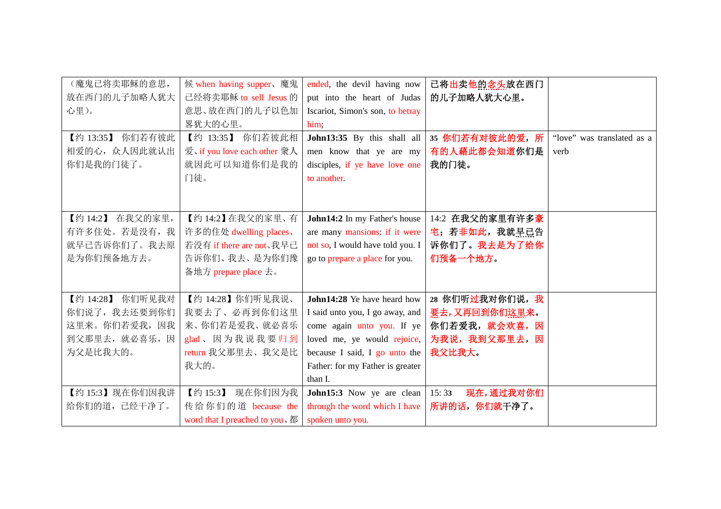| (魔鬼已将卖耶稣的意思,        | 候 when having supper、魔鬼                    | ended, the devil having now      | 已将出卖他的念头放在西门       |                            |
|---------------------|--------------------------------------------|----------------------------------|--------------------|----------------------------|
| 放在西门的儿子加略人犹大        | 已经将卖耶稣 to sell Jesus 的                     | put into the heart of Judas      | 的儿子加略人犹大心里。        |                            |
| 心里)。                | 意思、放在西门的儿子以色加                              | Iscariot, Simon's son, to betray |                    |                            |
|                     | 畧犹大的心里。                                    | him;                             |                    |                            |
| 【约 13:35】<br>你们若有彼此 | 你们若彼此相<br>【约 13:35】                        | John13:35 By this shall all      | 35 你们若有对彼此的爱,所     | "love" was translated as a |
| 相爱的心, 众人因此就认出       | 爱、if you love each other 衆人                | men know that ye are my          | 有的人藉此都会知道你们是       | verb                       |
| 你们是我的门徒了。           | 就因此可以知道你们是我的                               | disciples, if ye have love one   | 我的门徒。              |                            |
|                     | 门徒。                                        | to another.                      |                    |                            |
|                     |                                            |                                  |                    |                            |
|                     |                                            |                                  |                    |                            |
| 在我父的家里,<br>【约 14:2】 | 【约14:2】在我父的家里、有                            | John14:2 In my Father's house    | 14:2 在我父的家里有许多豪    |                            |
| 有许多住处。若是没有, 我       | 许多的住处 dwelling places、                     | are many mansions: if it were    | 宅;若非如此,我就早已告       |                            |
| 就早已告诉你们了。我去原        | 若没有 if there are not、我早已                   | not so, I would have told you. I | 诉你们了。我去是为了给你       |                            |
| 是为你们预备地方去。          | 告诉你们、我去、是为你们豫                              | go to prepare a place for you.   | 们预备一个地方。           |                            |
|                     | 备地方 prepare place 去。                       |                                  |                    |                            |
|                     |                                            |                                  |                    |                            |
| 你们听见我对<br>【约 14:28】 | 【约 14:28】你们听见我说、                           | John14:28 Ye have heard how      | 28 你们听过我对你们说,我     |                            |
| 你们说了,我去还要到你们        | 我要去了、必再到你们这里                               | I said unto you, I go away, and  | 要去,又再回到你们这里来。      |                            |
| 这里来。你们若爱我,因我        | 来、你们若是爱我、就必喜乐                              | come again unto you. If ye       | 你们若爱我, 就会欢喜, 因     |                            |
| 到父那里去, 就必喜乐, 因      | glad、因为我说我要归到                              | loved me, ye would rejoice,      | 为我说,我到父那里去,因       |                            |
| 为父是比我大的。            | return 我父那里去、我父是比                          | because I said, I go unto the    | 我父比我大。             |                            |
|                     | 我大的。                                       | Father: for my Father is greater |                    |                            |
|                     |                                            | than I.                          |                    |                            |
| 【约15:3】现在你们因我讲      | 【约 15:3】<br>现在你们因为我                        | John15:3 Now ye are clean        | 现在,通过我对你们<br>15:33 |                            |
| 给你们的道, 已经干净了。       | 传给你们的道 because the                         | through the word which I have    | 所讲的话, 你们就干净了。      |                            |
|                     | word that I preached to you, $\frac{3}{4}$ | spoken unto you.                 |                    |                            |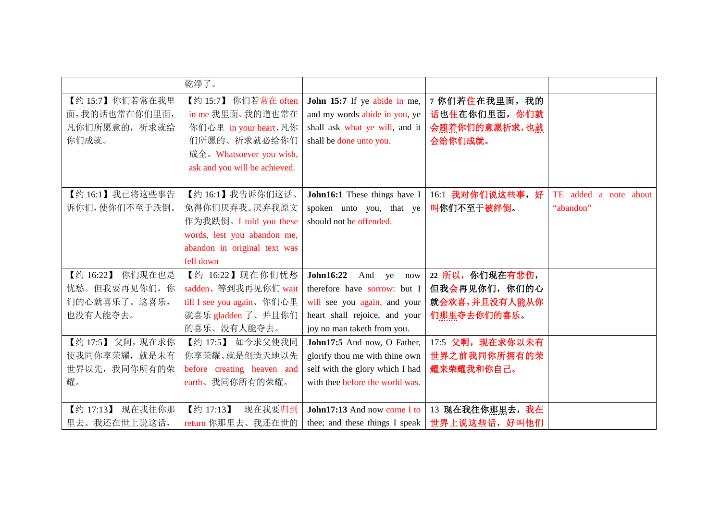|                     | 乾淨了。                          |                                 |                  |                       |
|---------------------|-------------------------------|---------------------------------|------------------|-----------------------|
| 【约15:7】你们若常在我里      | 【约 15:7】 你们若常在 often          | John 15:7 If ye abide in me,    | 7 你们若住在我里面,我的    |                       |
| 面,我的话也常在你们里面,       | in me 我里面、我的道也常在              | and my words abide in you, ye   | 话也住在你们里面, 你们就    |                       |
| 凡你们所愿意的, 祈求就给       | 你们心里 in your heart、凡你         | shall ask what ye will, and it  | 会随着你们的意愿祈求,也就    |                       |
| 你们成就。               | 们所愿的、祈求就必给你们                  | shall be done unto you.         | 会给你们成就。          |                       |
|                     | 成全。Whatsoever you wish,       |                                 |                  |                       |
|                     | ask and you will be achieved. |                                 |                  |                       |
|                     |                               |                                 |                  |                       |
| 【约16:1】我已将这些事告      | 【约16:1】我告诉你们这话、               | John16:1 These things have I    | 16:1 我对你们说这些事,好  | TE added a note about |
| 诉你们, 使你们不至于跌倒。      | 免得你们厌弃我。厌弃我原文                 | spoken unto you, that ye        | 叫你们不至于被绊倒。       | "abandon"             |
|                     | 作为我跌倒。I told you these        | should not be offended.         |                  |                       |
|                     | words, lest you abandon me,   |                                 |                  |                       |
|                     | abandon in original text was  |                                 |                  |                       |
|                     | fell down                     |                                 |                  |                       |
| 【约 16:22】 你们现在也是    | 【约 16:22】现在你们忧愁               | John16:22<br>And ye<br>now      | 22 所以, 你们现在有悲伤,  |                       |
| 忧愁。但我要再见你们,你        | sadden、等到我再见你们 wait           | therefore have sorrow: but I    | 但我会再见你们, 你们的心    |                       |
| 们的心就喜乐了。这喜乐,        | till I see you again、你们心里     | will see you again, and your    | 就会欢喜,并且没有人能从你    |                       |
| 也没有人能夺去。            | 就喜乐 gladden 了、并且你们            | heart shall rejoice, and your   | 们那里夺去你们的喜乐。      |                       |
|                     | 的喜乐、没有人能夺去。                   | joy no man taketh from you.     |                  |                       |
| 【约17:5】父阿, 现在求你     | 【约 17:5】 如今求父使我同              | John17:5 And now, O Father,     | 17:5 父啊, 现在求你以未有 |                       |
| 使我同你享荣耀, 就是未有       | 你享荣耀、就是创造天地以先                 | glorify thou me with thine own  | 世界之前我同你所拥有的荣     |                       |
| 世界以先, 我同你所有的荣       | before creating heaven and    | self with the glory which I had | 耀来荣耀我和你自己。       |                       |
| 耀。                  | earth、我同你所有的荣耀。               | with thee before the world was. |                  |                       |
|                     |                               |                                 |                  |                       |
| 【约 17:13】<br>现在我往你那 | 【约 17:13】<br>现在我要归到           | John17:13 And now come I to     | 13 现在我往你那里去,我在   |                       |
| 里去。我还在世上说这话,        | return 你那里去、我还在世的             | thee; and these things I speak  | 世界上说这些话,好叫他们     |                       |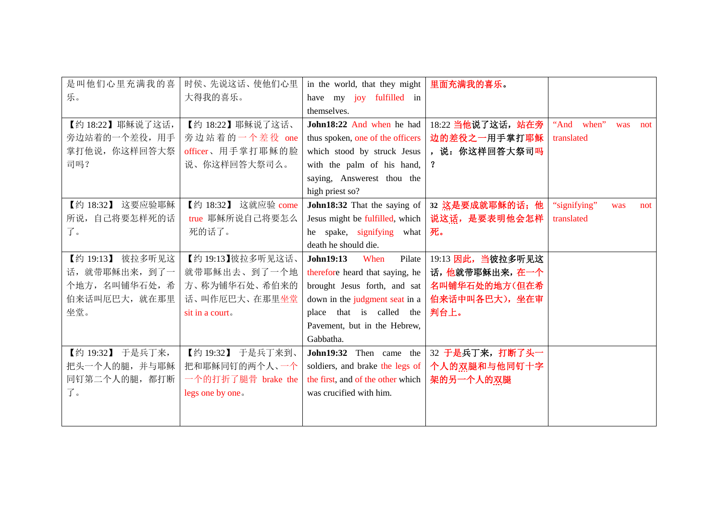| 是叫他们心里充满我的喜      | 时侯、先说这话、使他们心里       | in the world, that they might     | 里面充满我的喜乐。                                      |                            |
|------------------|---------------------|-----------------------------------|------------------------------------------------|----------------------------|
| 乐。               | 大得我的喜乐。             | have my joy fulfilled in          |                                                |                            |
|                  |                     | themselves.                       |                                                |                            |
| 【约18:22】耶稣说了这话,  | 【约 18:22】耶稣说了这话、    | John18:22 And when he had         | 18:22 当他说了这话,站在旁                               | "And when"<br>was<br>not   |
| 旁边站着的一个差役,用手     | 旁边站着的一个差役 one       | thus spoken, one of the officers  | 边的差役之一用手掌打耶稣                                   | translated                 |
| 掌打他说, 你这样回答大祭    | officer、用手掌打耶稣的脸    | which stood by struck Jesus       | , 说: 你这样回答大祭司吗                                 |                            |
| 司吗?              | 说、你这样回答大祭司么。        | with the palm of his hand,        | $\mathbf{r}$                                   |                            |
|                  |                     | saying, Answerest thou the        |                                                |                            |
|                  |                     | high priest so?                   |                                                |                            |
| 【约 18:32】 这要应验耶稣 | 【约 18:32】 这就应验 come |                                   | John18:32 That the saying of   32 这是要成就耶稣的话; 他 | "signifying"<br>was<br>not |
| 所说,自己将要怎样死的话     | true 耶稣所说自己将要怎么     | Jesus might be fulfilled, which   | 说这话,是要表明他会怎样                                   | translated                 |
| 了。               | 死的话了。               | he spake, signifying what         | 死。                                             |                            |
|                  |                     | death he should die.              |                                                |                            |
| 【约 19:13】 彼拉多听见这 | 【约19:13】彼拉多听见这话、    | John19:13<br>When<br>Pilate       | 19:13 因此, 当彼拉多听见这                              |                            |
| 话, 就带耶稣出来, 到了一   | 就带耶稣出去、到了一个地        | therefore heard that saying, he   | 话,他就带耶稣出来,在一个                                  |                            |
| 个地方, 名叫铺华石处, 希   | 方、称为铺华石处、希伯来的       | brought Jesus forth, and sat      | 名叫铺华石处的地方(但在希                                  |                            |
| 伯来话叫厄巴大, 就在那里    | 话、叫作厄巴大、在那里坐堂       | down in the judgment seat in a    | 伯来话中叫各巴大), 坐在审                                 |                            |
| 坐堂。              | sit in a court.     | place that is called the          | 判台上。                                           |                            |
|                  |                     | Pavement, but in the Hebrew,      |                                                |                            |
|                  |                     | Gabbatha.                         |                                                |                            |
| 【约 19:32】 于是兵丁来, | 【约19:32】 于是兵丁来到、    | John19:32 Then came the           | 32 于是兵丁来, 打断了头一                                |                            |
| 把头一个人的腿,并与耶稣     | 把和耶稣同钉的两个人、一个       | soldiers, and brake the legs of   | 个人的双腿和与他同钉十字                                   |                            |
| 同钉第二个人的腿,都打断     | 一个的打折了腿骨 brake the  | the first, and of the other which | 架的另一个人的双腿                                      |                            |
| 了。               | legs one by one.    | was crucified with him.           |                                                |                            |
|                  |                     |                                   |                                                |                            |
|                  |                     |                                   |                                                |                            |